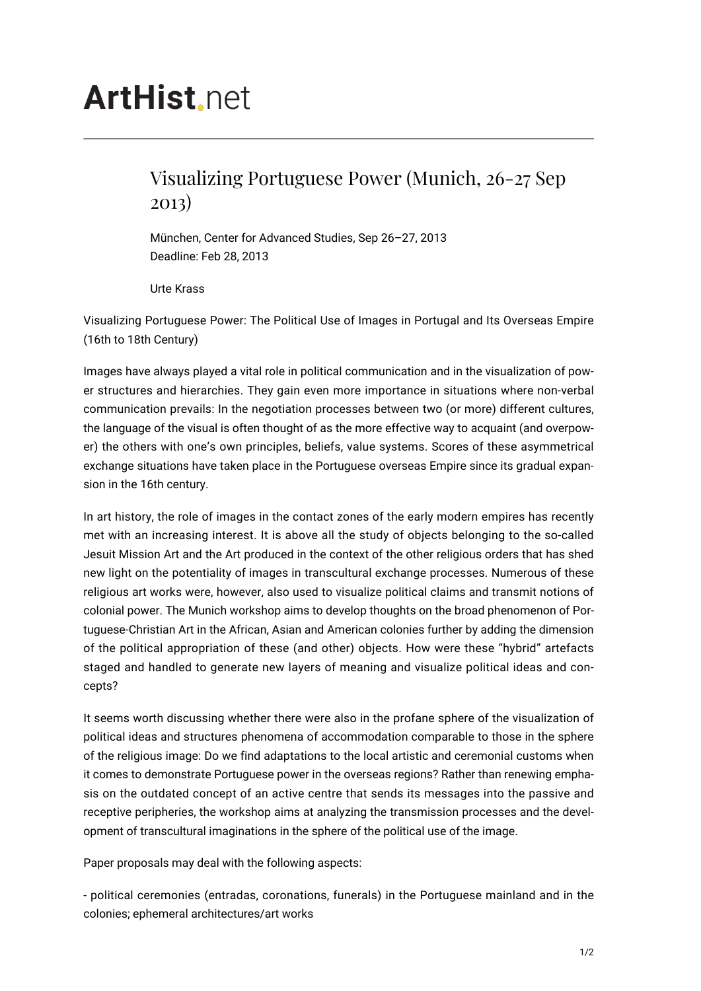## **ArtHist**, net

## Visualizing Portuguese Power (Munich, 26-27 Sep 2013)

München, Center for Advanced Studies, Sep 26–27, 2013 Deadline: Feb 28, 2013

Urte Krass

Visualizing Portuguese Power: The Political Use of Images in Portugal and Its Overseas Empire (16th to 18th Century)

Images have always played a vital role in political communication and in the visualization of power structures and hierarchies. They gain even more importance in situations where non-verbal communication prevails: In the negotiation processes between two (or more) different cultures, the language of the visual is often thought of as the more effective way to acquaint (and overpower) the others with one's own principles, beliefs, value systems. Scores of these asymmetrical exchange situations have taken place in the Portuguese overseas Empire since its gradual expansion in the 16th century.

In art history, the role of images in the contact zones of the early modern empires has recently met with an increasing interest. It is above all the study of objects belonging to the so-called Jesuit Mission Art and the Art produced in the context of the other religious orders that has shed new light on the potentiality of images in transcultural exchange processes. Numerous of these religious art works were, however, also used to visualize political claims and transmit notions of colonial power. The Munich workshop aims to develop thoughts on the broad phenomenon of Portuguese-Christian Art in the African, Asian and American colonies further by adding the dimension of the political appropriation of these (and other) objects. How were these "hybrid" artefacts staged and handled to generate new layers of meaning and visualize political ideas and concepts?

It seems worth discussing whether there were also in the profane sphere of the visualization of political ideas and structures phenomena of accommodation comparable to those in the sphere of the religious image: Do we find adaptations to the local artistic and ceremonial customs when it comes to demonstrate Portuguese power in the overseas regions? Rather than renewing emphasis on the outdated concept of an active centre that sends its messages into the passive and receptive peripheries, the workshop aims at analyzing the transmission processes and the development of transcultural imaginations in the sphere of the political use of the image.

Paper proposals may deal with the following aspects:

- political ceremonies (entradas, coronations, funerals) in the Portuguese mainland and in the colonies; ephemeral architectures/art works